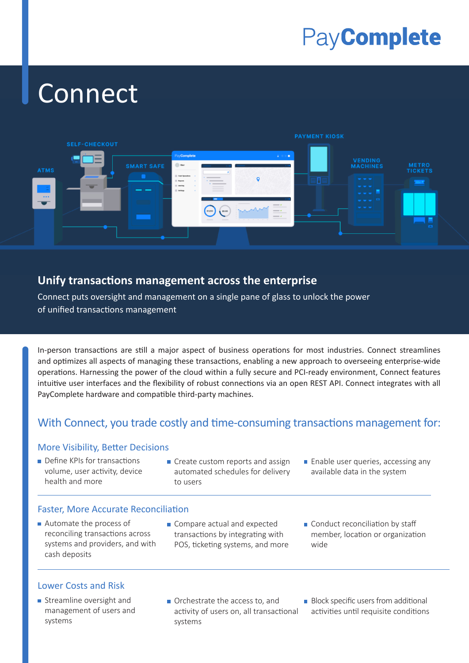# PayComplete

# Connect



### **Unify transactions management across the enterprise**

Connect puts oversight and management on a single pane of glass to unlock the power of unified transactions management

In-person transactions are still a major aspect of business operations for most industries. Connect streamlines and optimizes all aspects of managing these transactions, enabling a new approach to overseeing enterprise-wide operations. Harnessing the power of the cloud within a fully secure and PCI-ready environment, Connect features intuitive user interfaces and the flexibility of robust connections via an open REST API. Connect integrates with all PayComplete hardware and compatible third-party machines.

# With Connect, you trade costly and time-consuming transactions management for:

### More Visibility, Better Decisions

- Define KPIs for transactions volume, user activity, device health and more
- **Create custom reports and assign**  automated schedules for delivery to users
- **Enable user queries, accessing any**  available data in the system

### Faster, More Accurate Reconciliation

- Automate the process of reconciling transactions across systems and providers, and with cash deposits
- Compare actual and expected transactions by integrating with POS, ticketing systems, and more
- Conduct reconciliation by staff member, location or organization wide

### Lower Costs and Risk

- **Streamline oversight and**  management of users and systems
- Orchestrate the access to, and activity of users on, all transactional systems
- $\blacksquare$  Block specific users from additional activities until requisite conditions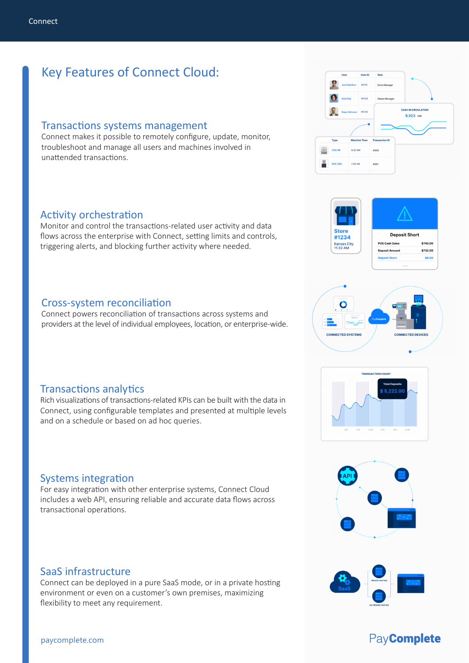# Key Features of Connect Cloud:

#### Transactions systems management

Connect makes it possible to remotely configure, update, monitor, troubleshoot and manage all users and machines involved in unattended transactions.

### Activity orchestration

Monitor and control the transactions-related user activity and data flows across the enterprise with Connect, setting limits and controls, triggering alerts, and blocking further activity where needed.

#### Cross-system reconciliation

Connect powers reconciliation of transactions across systems and providers at the level of individual employees, location, or enterprise-wide.

### Transactions analytics

Rich visualizations of transactions-related KPIs can be built with the data in Connect, using configurable templates and presented at multiple levels and on a schedule or based on ad hoc queries.

### Systems integration

For easy integration with other enterprise systems, Connect Cloud includes a web API, ensuring reliable and accurate data flows across transactional operations.

#### SaaS infrastructure

Connect can be deployed in a pure SaaS mode, or in a private hosting environment or even on a customer's own premises, maximizing flexibility to meet any requirement.













# PayComplete

#### paycomplete.com